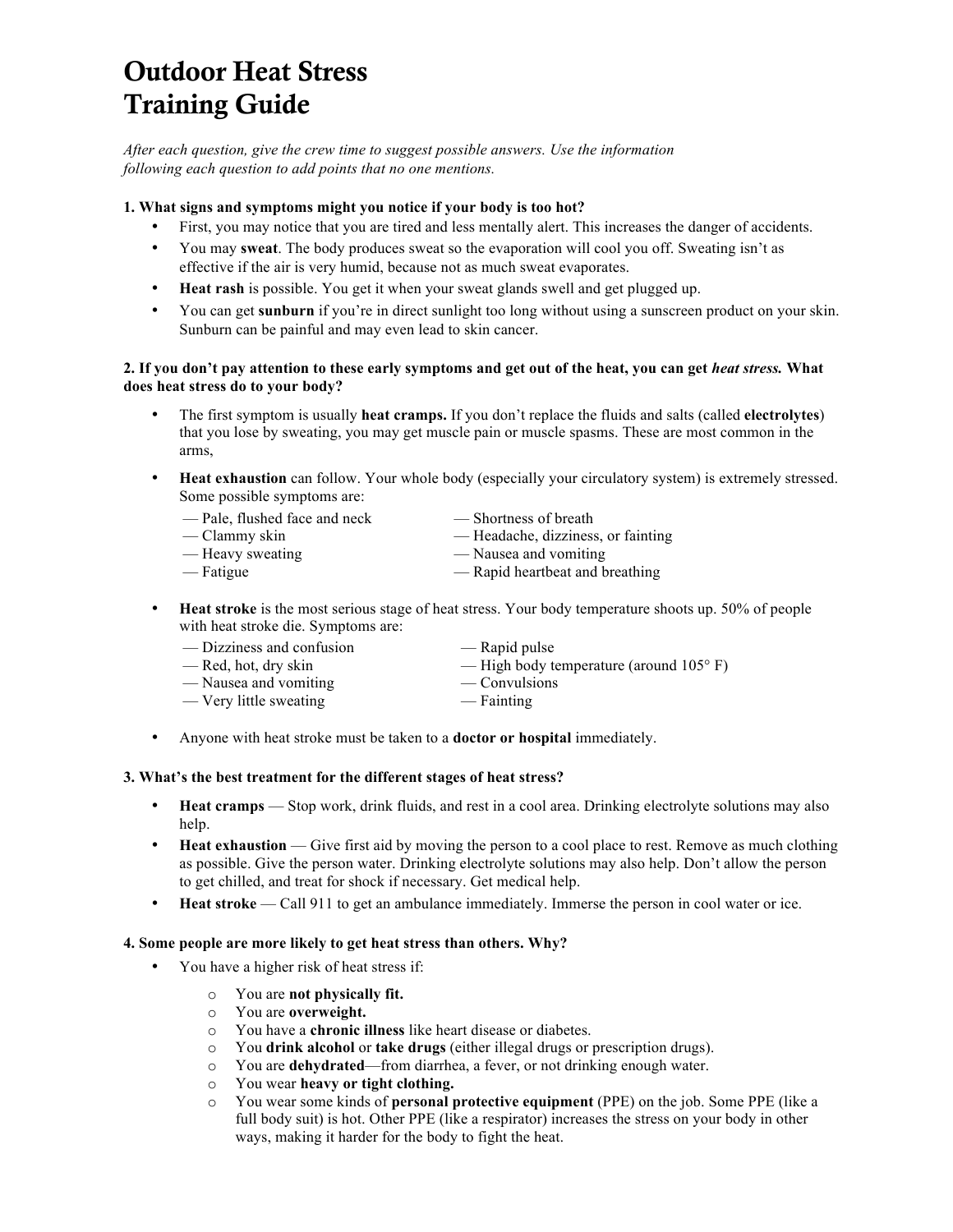# Outdoor Heat Stress Training Guide

*After each question, give the crew time to suggest possible answers. Use the information following each question to add points that no one mentions.*

## **1. What signs and symptoms might you notice if your body is too hot?**

- First, you may notice that you are tired and less mentally alert. This increases the danger of accidents.
- You may **sweat**. The body produces sweat so the evaporation will cool you off. Sweating isn't as effective if the air is very humid, because not as much sweat evaporates.
- **Heat rash** is possible. You get it when your sweat glands swell and get plugged up.
- You can get **sunburn** if you're in direct sunlight too long without using a sunscreen product on your skin. Sunburn can be painful and may even lead to skin cancer.

#### **2. If you don't pay attention to these early symptoms and get out of the heat, you can get** *heat stress.* **What does heat stress do to your body?**

- The first symptom is usually **heat cramps.** If you don't replace the fluids and salts (called **electrolytes**) that you lose by sweating, you may get muscle pain or muscle spasms. These are most common in the arms,
- **Heat exhaustion** can follow. Your whole body (especially your circulatory system) is extremely stressed. Some possible symptoms are:

| — Pale, flushed face and neck | — Shortness of breath              |
|-------------------------------|------------------------------------|
| — Clammy skin                 | — Headache, dizziness, or fainting |
| — Heavy sweating              | — Nausea and vomiting              |
| — Fatigue                     | — Rapid heartbeat and breathing    |

• **Heat stroke** is the most serious stage of heat stress. Your body temperature shoots up. 50% of people with heat stroke die. Symptoms are:

| — Dizziness and confusion | — Rapid pulse                                    |
|---------------------------|--------------------------------------------------|
| — Red, hot, dry skin      | — High body temperature (around $105^{\circ}$ F) |
| — Nausea and vomiting     | — Convulsions                                    |
| — Very little sweating    | — Fainting                                       |

• Anyone with heat stroke must be taken to a **doctor or hospital** immediately.

#### **3. What's the best treatment for the different stages of heat stress?**

- **Heat cramps**  Stop work, drink fluids, and rest in a cool area. Drinking electrolyte solutions may also help.
- **Heat exhaustion** Give first aid by moving the person to a cool place to rest. Remove as much clothing as possible. Give the person water. Drinking electrolyte solutions may also help. Don't allow the person to get chilled, and treat for shock if necessary. Get medical help.
- **Heat stroke** Call 911 to get an ambulance immediately. Immerse the person in cool water or ice.

#### **4. Some people are more likely to get heat stress than others. Why?**

- You have a higher risk of heat stress if:
	- o You are **not physically fit.**
	- o You are **overweight.**
	- o You have a **chronic illness** like heart disease or diabetes.
	- o You **drink alcohol** or **take drugs** (either illegal drugs or prescription drugs).
	- o You are **dehydrated**—from diarrhea, a fever, or not drinking enough water.
	- o You wear **heavy or tight clothing.**
	- o You wear some kinds of **personal protective equipment** (PPE) on the job. Some PPE (like a full body suit) is hot. Other PPE (like a respirator) increases the stress on your body in other ways, making it harder for the body to fight the heat.